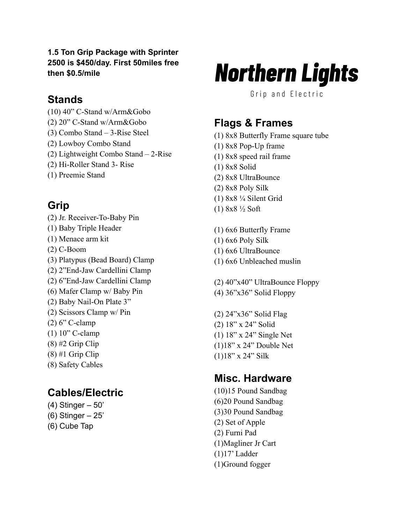#### **1.5 Ton Grip Package with Sprinter 2500 is \$450/day. First 50miles free then \$0.5/mile**

### **Stands**

- (10) 40" C-Stand w/Arm&Gobo
- (2) 20" C-Stand w/Arm&Gobo
- (3) Combo Stand 3-Rise Steel
- (2) Lowboy Combo Stand
- (2) Lightweight Combo Stand 2-Rise
- (2) Hi-Roller Stand 3- Rise
- (1) Preemie Stand

## **Grip**

- (2) Jr. Receiver-To-Baby Pin
- (1) Baby Triple Header
- (1) Menace arm kit
- (2) C-Boom
- (3) Platypus (Bead Board) Clamp
- (2) 2"End-Jaw Cardellini Clamp
- (2) 6"End-Jaw Cardellini Clamp
- (6) Mafer Clamp w/ Baby Pin
- (2) Baby Nail-On Plate 3"
- (2) Scissors Clamp w/ Pin
- (2) 6" C-clamp
- (1) 10" C-clamp
- $(8)$  #2 Grip Clip
- $(8)$  #1 Grip Clip
- (8) Safety Cables

## **Cables/Electric**

- (4) Stinger 50'
- (6) Stinger 25'
- (6) Cube Tap

# **Northern Lights**

Grip and Electric

## **Flags & Frames**

- (1) 8x8 Butterfly Frame square tube
- (1) 8x8 Pop-Up frame
- (1) 8x8 speed rail frame
- (1) 8x8 Solid
- (2) 8x8 UltraBounce
- (2) 8x8 Poly Silk
- (1) 8x8 ¼ Silent Grid
- (1) 8x8 ½ Soft
- (1) 6x6 Butterfly Frame
- (1) 6x6 Poly Silk
- (1) 6x6 UltraBounce
- (1) 6x6 Unbleached muslin
- (2) 40"x40" UltraBounce Floppy
- (4) 36"x36" Solid Floppy
- (2) 24"x36" Solid Flag (2) 18" x 24" Solid (1) 18" x 24" Single Net (1)18" x 24" Double Net (1)18" x 24" Silk

# **Misc. Hardware**

- (10)15 Pound Sandbag (6)20 Pound Sandbag (3)30 Pound Sandbag (2) Set of Apple (2) Furni Pad (1)Magliner Jr Cart (1)17' Ladder
- (1)Ground fogger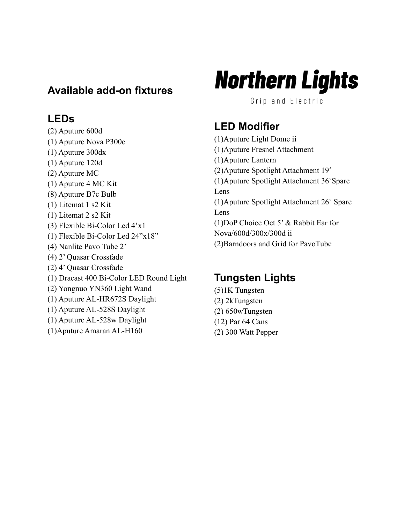### **Available add-on fixtures**

### **LEDs**

(2) Aputure 600d (1) Aputure Nova P300c (1) Aputure 300dx (1) Aputure 120d (2) Aputure MC (1) Aputure 4 MC Kit (8) Aputure B7c Bulb (1) Litemat 1 s2 Kit (1) Litemat 2 s2 Kit (3) Flexible Bi-Color Led 4'x1 (1) Flexible Bi-Color Led 24"x18" (4) Nanlite Pavo Tube 2' (4) 2' Quasar Crossfade (2) 4' Quasar Crossfade (1) Dracast 400 Bi-Color LED Round Light (2) Yongnuo YN360 Light Wand (1) Aputure AL-HR672S Daylight (1) Aputure AL-528S Daylight (1) Aputure AL-528w Daylight (1)Aputure Amaran AL-H160

# **Northern Lights**

Grip and Electric

# **LED Modifier**

(1)Aputure Light Dome ii (1)Aputure Fresnel Attachment (1)Aputure Lantern (2)Aputure Spotlight Attachment 19˚ (1)Aputure Spotlight Attachment 36˚Spare Lens (1)Aputure Spotlight Attachment 26˚ Spare Lens (1)DoP Choice Oct 5' & Rabbit Ear for Nova/600d/300x/300d ii (2)Barndoors and Grid for PavoTube

# **Tungsten Lights**

- (5)1K Tungsten (2) 2kTungsten
- (2) 650wTungsten
- (12) Par 64 Cans
- (2) 300 Watt Pepper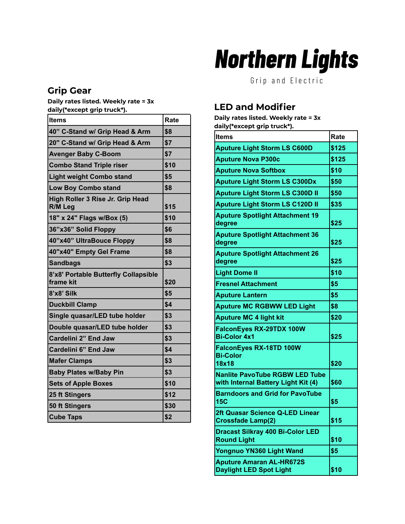### **Grip Gear**

**Daily rates listed. Weekly rate = 3x daily(\*except grip truck\*).**

| <b>Items</b>                                      | Rate |
|---------------------------------------------------|------|
| 40" C-Stand w/ Grip Head & Arm                    | \$8  |
| 20" C-Stand w/ Grip Head & Arm                    | \$7  |
| <b>Avenger Baby C-Boom</b>                        | \$7  |
| <b>Combo Stand Triple riser</b>                   | \$10 |
| <b>Light weight Combo stand</b>                   | \$5  |
| <b>Low Boy Combo stand</b>                        | \$8  |
| High Roller 3 Rise Jr. Grip Head<br>R/M Leg       | \$15 |
| 18" x 24" Flags w/Box (5)                         | \$10 |
| 36"x36" Solid Floppy                              | \$6  |
| 40"x40" UltraBouce Floppy                         | \$8  |
| 40"x40" Empty Gel Frame                           | \$8  |
| <b>Sandbags</b>                                   | \$3  |
| 8'x8' Portable Butterfly Collapsible<br>frame kit | \$20 |
| 8'x8' Silk                                        | \$5  |
| <b>Duckbill Clamp</b>                             | \$4  |
| Single quasar/LED tube holder                     | \$3  |
| Double quasar/LED tube holder                     | \$3  |
| Cardelini 2" End Jaw                              | \$3  |
| Cardelini 6" End Jaw                              | \$4  |
| <b>Mafer Clamps</b>                               | \$3  |
| <b>Baby Plates w/Baby Pin</b>                     | \$3  |
| <b>Sets of Apple Boxes</b>                        | \$10 |
| 25 ft Stingers                                    | \$12 |
| 50 ft Stingers                                    | \$30 |
| <b>Cube Taps</b>                                  | \$2  |

# **Northern Lights**

Grip and Electric

### **LED and Modifier**

**Daily rates listed. Weekly rate = 3x daily(\*except grip truck\*).**

| <b>Items</b>                                                                 | Rate  |
|------------------------------------------------------------------------------|-------|
| <b>Aputure Light Storm LS C600D</b>                                          | \$125 |
| <b>Aputure Nova P300c</b>                                                    | \$125 |
| <b>Aputure Nova Softbox</b>                                                  | \$10  |
| <b>Aputure Light Storm LS C300Dx</b>                                         | \$50  |
| <b>Aputure Light Storm LS C300D II</b>                                       | \$50  |
| <b>Aputure Light Storm LS C120D II</b>                                       | \$35  |
| <b>Aputure Spotlight Attachment 19</b><br>degree                             | \$25  |
| <b>Aputure Spotlight Attachment 36</b><br>degree                             | \$25  |
| <b>Aputure Spotlight Attachment 26</b><br>degree                             | \$25  |
| <b>Light Dome II</b>                                                         | \$10  |
| <b>Fresnel Attachment</b>                                                    | \$5   |
| <b>Aputure Lantern</b>                                                       | \$5   |
| <b>Aputure MC RGBWW LED Light</b>                                            | \$8   |
| <b>Aputure MC 4 light kit</b>                                                | \$20  |
| FalconEyes RX-29TDX 100W<br><b>Bi-Color 4x1</b>                              | \$25  |
| FalconEyes RX-18TD 100W<br><b>Bi-Color</b><br>18x18                          | \$20  |
| <b>Nanlite PavoTube RGBW LED Tube</b><br>with Internal Battery Light Kit (4) | \$60  |
| <b>Barndoors and Grid for PavoTube</b><br><b>15C</b>                         | \$5   |
| 2ft Quasar Science Q-LED Linear<br><b>Crossfade Lamp(2)</b>                  | \$15  |
| <b>Dracast Silkray 400 Bi-Color LED</b><br><b>Round Light</b>                | \$10  |
| Yongnuo YN360 Light Wand                                                     | \$5   |
| <b>Aputure Amaran AL-HR672S</b><br><b>Daylight LED Spot Light</b>            | \$10  |